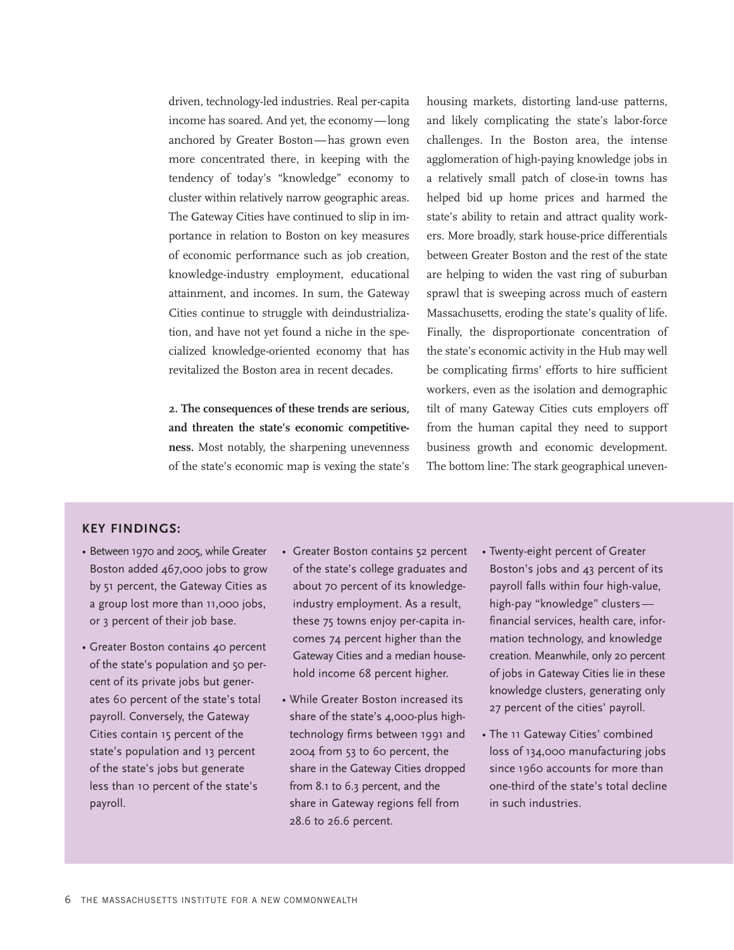## **KEY FINDINGS:**

- Between 1970 and 2005, while Greater Boston added 467,000 jobs to grow by 51 percent, the Gateway Cities as a group lost more than 11,000 jobs, or 3 percent of their job base.
- Greater Boston contains 40 percent of the state's population and 50 percent of its private jobs but generates 60 percent of the state's total payroll. Conversely, the Gateway Cities contain 15 percent of the state's population and 13 percent of the state's jobs but generate less than 10 percent of the state's payroll.
- Greater Boston contains 52 percent of the state's college graduates and about 70 percent of its knowledgeindustry employment. As a result, these 75 towns enjoy per-capita incomes 74 percent higher than the Gateway Cities and a median household income 68 percent higher.
- While Greater Boston increased its share of the state's 4,000-plus hightechnology firms between 1991 and 2004 from 53 to 60 percent, the share in the Gateway Cities dropped from 8.1 to 6.3 percent, and the share in Gateway regions fell from 28.6 to 26.6 percent.
- Twenty-eight percent of Greater Boston's jobs and 43 percent of its payroll falls within four high-value, high-pay "knowledge" clusters financial services, health care, information technology, and knowledge creation. Meanwhile, only 20 percent of jobs in Gateway Cities lie in these knowledge clusters, generating only 27 percent of the cities' payroll.
- The 11 Gateway Cities' combined loss of 134,000 manufacturing jobs since 1960 accounts for more than one-third of the state's total decline in such industries.